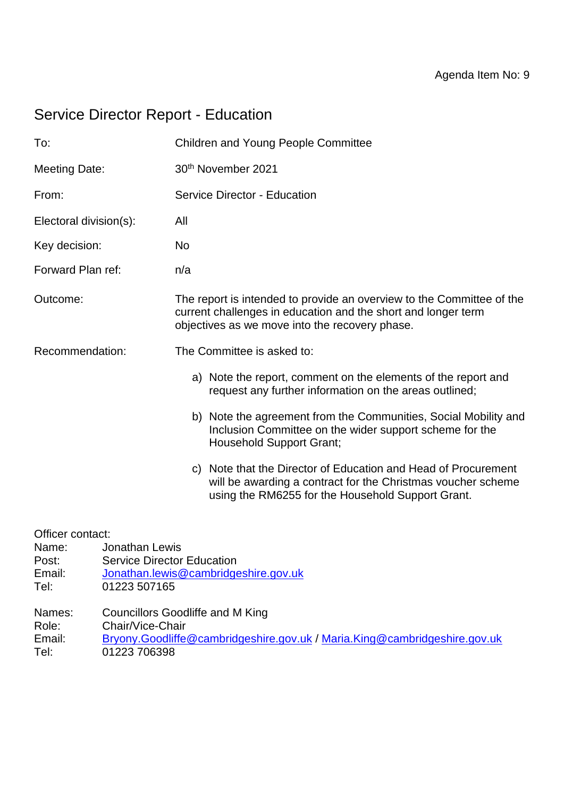# Service Director Report - Education

| To:                                                  |                                                                     | <b>Children and Young People Committee</b>                                                                                                                                               |
|------------------------------------------------------|---------------------------------------------------------------------|------------------------------------------------------------------------------------------------------------------------------------------------------------------------------------------|
| <b>Meeting Date:</b>                                 |                                                                     | 30th November 2021                                                                                                                                                                       |
| From:                                                |                                                                     | Service Director - Education                                                                                                                                                             |
| Electoral division(s):                               |                                                                     | All                                                                                                                                                                                      |
| Key decision:                                        |                                                                     | <b>No</b>                                                                                                                                                                                |
| Forward Plan ref:                                    |                                                                     | n/a                                                                                                                                                                                      |
| Outcome:                                             |                                                                     | The report is intended to provide an overview to the Committee of the<br>current challenges in education and the short and longer term<br>objectives as we move into the recovery phase. |
| Recommendation:                                      |                                                                     | The Committee is asked to:                                                                                                                                                               |
|                                                      |                                                                     | a) Note the report, comment on the elements of the report and<br>request any further information on the areas outlined;                                                                  |
|                                                      |                                                                     | b) Note the agreement from the Communities, Social Mobility and<br>Inclusion Committee on the wider support scheme for the<br><b>Household Support Grant;</b>                            |
|                                                      |                                                                     | c) Note that the Director of Education and Head of Procurement<br>will be awarding a contract for the Christmas voucher scheme<br>using the RM6255 for the Household Support Grant.      |
| Officer contact:<br>Name:<br>Post:<br>Email:<br>Tel: | Jonathan Lewis<br><b>Service Director Education</b><br>01223 507165 | Jonathan.lewis@cambridgeshire.gov.uk                                                                                                                                                     |
| Names:<br>Role:<br>Email:<br>Tel:                    | Chair/Vice-Chair<br>01223 706398                                    | <b>Councillors Goodliffe and M King</b><br>Bryony.Goodliffe@cambridgeshire.gov.uk / Maria.King@cambridgeshire.gov.uk                                                                     |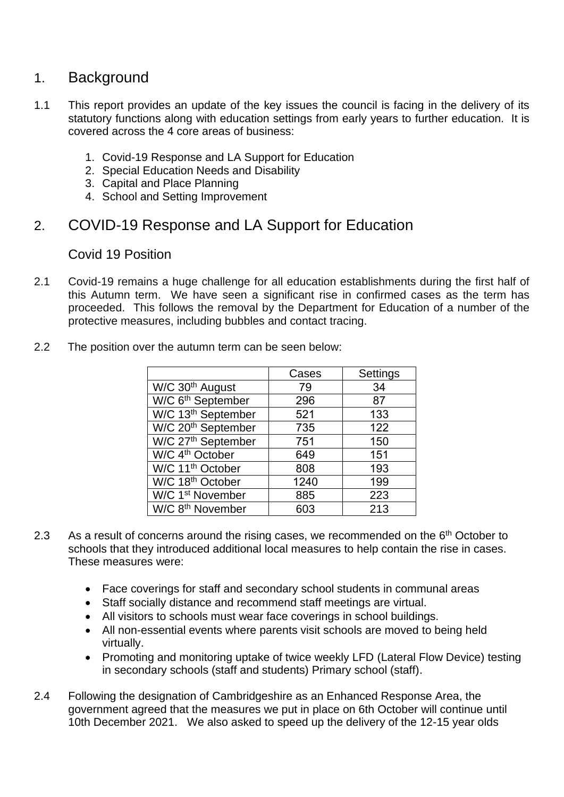# 1. Background

- 1.1 This report provides an update of the key issues the council is facing in the delivery of its statutory functions along with education settings from early years to further education. It is covered across the 4 core areas of business:
	- 1. Covid-19 Response and LA Support for Education
	- 2. Special Education Needs and Disability
	- 3. Capital and Place Planning
	- 4. School and Setting Improvement

# 2. COVID-19 Response and LA Support for Education

## Covid 19 Position

2.1 Covid-19 remains a huge challenge for all education establishments during the first half of this Autumn term. We have seen a significant rise in confirmed cases as the term has proceeded. This follows the removal by the Department for Education of a number of the protective measures, including bubbles and contact tracing.

|                                | Cases | Settings |
|--------------------------------|-------|----------|
| W/C 30 <sup>th</sup> August    | 79    | 34       |
| W/C 6 <sup>th</sup> September  | 296   | 87       |
| W/C 13 <sup>th</sup> September | 521   | 133      |
| W/C 20 <sup>th</sup> September | 735   | 122      |
| W/C 27 <sup>th</sup> September | 751   | 150      |
| W/C 4 <sup>th</sup> October    | 649   | 151      |
| W/C 11 <sup>th</sup> October   | 808   | 193      |
| W/C 18 <sup>th</sup> October   | 1240  | 199      |
| W/C 1 <sup>st</sup> November   | 885   | 223      |
| W/C 8 <sup>th</sup> November   | 603   | 213      |

2.2 The position over the autumn term can be seen below:

- 2.3 As a result of concerns around the rising cases, we recommended on the  $6<sup>th</sup>$  October to schools that they introduced additional local measures to help contain the rise in cases. These measures were:
	- Face coverings for staff and secondary school students in communal areas
	- Staff socially distance and recommend staff meetings are virtual.
	- All visitors to schools must wear face coverings in school buildings.
	- All non-essential events where parents visit schools are moved to being held virtually.
	- Promoting and monitoring uptake of twice weekly LFD (Lateral Flow Device) testing in secondary schools (staff and students) Primary school (staff).
- 2.4 Following the designation of Cambridgeshire as an Enhanced Response Area, the government agreed that the measures we put in place on 6th October will continue until 10th December 2021. We also asked to speed up the delivery of the 12-15 year olds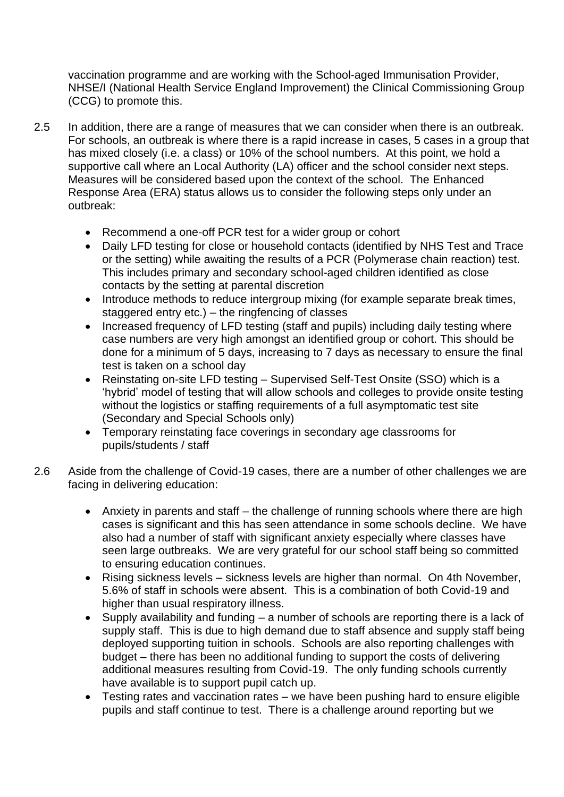vaccination programme and are working with the School-aged Immunisation Provider, NHSE/I (National Health Service England Improvement) the Clinical Commissioning Group (CCG) to promote this.

- 2.5 In addition, there are a range of measures that we can consider when there is an outbreak. For schools, an outbreak is where there is a rapid increase in cases, 5 cases in a group that has mixed closely (i.e. a class) or 10% of the school numbers. At this point, we hold a supportive call where an Local Authority (LA) officer and the school consider next steps. Measures will be considered based upon the context of the school. The Enhanced Response Area (ERA) status allows us to consider the following steps only under an outbreak:
	- Recommend a one-off PCR test for a wider group or cohort
	- Daily LFD testing for close or household contacts (identified by NHS Test and Trace or the setting) while awaiting the results of a PCR (Polymerase chain reaction) test. This includes primary and secondary school-aged children identified as close contacts by the setting at parental discretion
	- Introduce methods to reduce intergroup mixing (for example separate break times, staggered entry etc.) – the ringfencing of classes
	- Increased frequency of LFD testing (staff and pupils) including daily testing where case numbers are very high amongst an identified group or cohort. This should be done for a minimum of 5 days, increasing to 7 days as necessary to ensure the final test is taken on a school day
	- Reinstating on-site LFD testing Supervised Self-Test Onsite (SSO) which is a 'hybrid' model of testing that will allow schools and colleges to provide onsite testing without the logistics or staffing requirements of a full asymptomatic test site (Secondary and Special Schools only)
	- Temporary reinstating face coverings in secondary age classrooms for pupils/students / staff
- 2.6 Aside from the challenge of Covid-19 cases, there are a number of other challenges we are facing in delivering education:
	- Anxiety in parents and staff the challenge of running schools where there are high cases is significant and this has seen attendance in some schools decline. We have also had a number of staff with significant anxiety especially where classes have seen large outbreaks. We are very grateful for our school staff being so committed to ensuring education continues.
	- Rising sickness levels sickness levels are higher than normal. On 4th November, 5.6% of staff in schools were absent. This is a combination of both Covid-19 and higher than usual respiratory illness.
	- Supply availability and funding a number of schools are reporting there is a lack of supply staff. This is due to high demand due to staff absence and supply staff being deployed supporting tuition in schools. Schools are also reporting challenges with budget – there has been no additional funding to support the costs of delivering additional measures resulting from Covid-19. The only funding schools currently have available is to support pupil catch up.
	- Testing rates and vaccination rates we have been pushing hard to ensure eligible pupils and staff continue to test. There is a challenge around reporting but we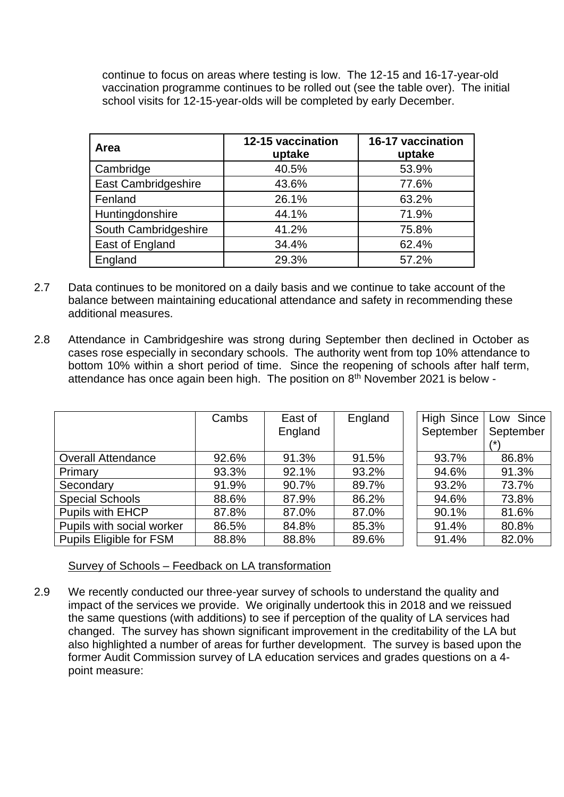continue to focus on areas where testing is low. The 12-15 and 16-17-year-old vaccination programme continues to be rolled out (see the table over). The initial school visits for 12-15-year-olds will be completed by early December.

| Area                 | 12-15 vaccination<br>uptake | 16-17 vaccination<br>uptake |
|----------------------|-----------------------------|-----------------------------|
| Cambridge            | 40.5%                       | 53.9%                       |
| East Cambridgeshire  | 43.6%                       | 77.6%                       |
| Fenland              | 26.1%                       | 63.2%                       |
| Huntingdonshire      | 44.1%                       | 71.9%                       |
| South Cambridgeshire | 41.2%                       | 75.8%                       |
| East of England      | 34.4%                       | 62.4%                       |
| England              | 29.3%                       | 57.2%                       |

- 2.7 Data continues to be monitored on a daily basis and we continue to take account of the balance between maintaining educational attendance and safety in recommending these additional measures.
- 2.8 Attendance in Cambridgeshire was strong during September then declined in October as cases rose especially in secondary schools. The authority went from top 10% attendance to bottom 10% within a short period of time. Since the reopening of schools after half term, attendance has once again been high. The position on 8th November 2021 is below -

|                                | Cambs | East of<br>England | England | High Since<br>September | Low Since<br>September |
|--------------------------------|-------|--------------------|---------|-------------------------|------------------------|
| <b>Overall Attendance</b>      | 92.6% | 91.3%              | 91.5%   | 93.7%                   | 86.8%                  |
| Primary                        | 93.3% | 92.1%              | 93.2%   | 94.6%                   | 91.3%                  |
| Secondary                      | 91.9% | 90.7%              | 89.7%   | 93.2%                   | 73.7%                  |
| <b>Special Schools</b>         | 88.6% | 87.9%              | 86.2%   | 94.6%                   | 73.8%                  |
| Pupils with EHCP               | 87.8% | 87.0%              | 87.0%   | 90.1%                   | 81.6%                  |
| Pupils with social worker      | 86.5% | 84.8%              | 85.3%   | 91.4%                   | 80.8%                  |
| <b>Pupils Eligible for FSM</b> | 88.8% | 88.8%              | 89.6%   | 91.4%                   | 82.0%                  |

Survey of Schools – Feedback on LA transformation

2.9 We recently conducted our three-year survey of schools to understand the quality and impact of the services we provide. We originally undertook this in 2018 and we reissued the same questions (with additions) to see if perception of the quality of LA services had changed. The survey has shown significant improvement in the creditability of the LA but also highlighted a number of areas for further development. The survey is based upon the former Audit Commission survey of LA education services and grades questions on a 4 point measure: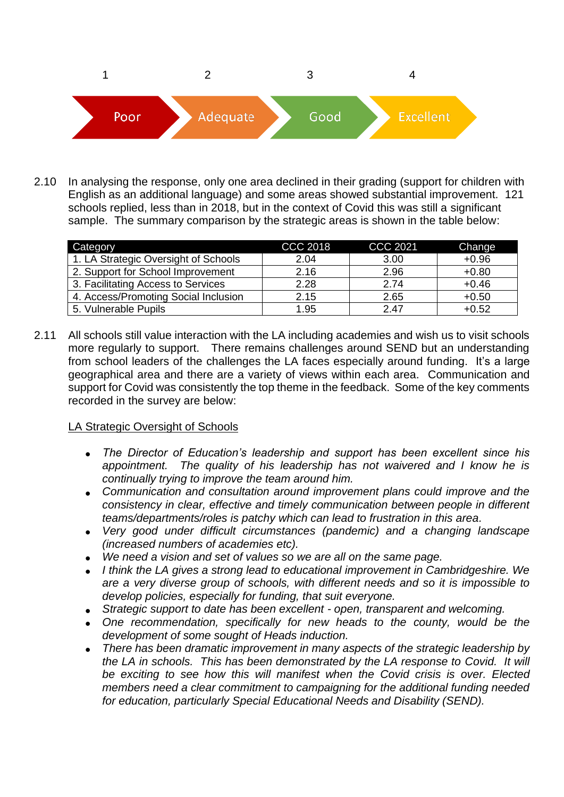

2.10 In analysing the response, only one area declined in their grading (support for children with English as an additional language) and some areas showed substantial improvement. 121 schools replied, less than in 2018, but in the context of Covid this was still a significant sample. The summary comparison by the strategic areas is shown in the table below:

| Category                             | CCC 2018 | <b>CCC 2021</b> | Change  |
|--------------------------------------|----------|-----------------|---------|
| 1. LA Strategic Oversight of Schools | 2.04     | 3.00            | $+0.96$ |
| 2. Support for School Improvement    | 2.16     | 2.96            | $+0.80$ |
| 3. Facilitating Access to Services   | 2.28     | 2.74            | $+0.46$ |
| 4. Access/Promoting Social Inclusion | 2.15     | 2.65            | $+0.50$ |
| 5. Vulnerable Pupils                 | 1.95     | 2.47            | $+0.52$ |

2.11 All schools still value interaction with the LA including academies and wish us to visit schools more regularly to support. There remains challenges around SEND but an understanding from school leaders of the challenges the LA faces especially around funding. It's a large geographical area and there are a variety of views within each area. Communication and support for Covid was consistently the top theme in the feedback. Some of the key comments recorded in the survey are below:

### LA Strategic Oversight of Schools

- *The Director of Education's leadership and support has been excellent since his appointment. The quality of his leadership has not waivered and I know he is continually trying to improve the team around him.*
- *Communication and consultation around improvement plans could improve and the consistency in clear, effective and timely communication between people in different teams/departments/roles is patchy which can lead to frustration in this area.*
- *Very good under difficult circumstances (pandemic) and a changing landscape (increased numbers of academies etc).*
- *We need a vision and set of values so we are all on the same page.*
- *I think the LA gives a strong lead to educational improvement in Cambridgeshire. We are a very diverse group of schools, with different needs and so it is impossible to develop policies, especially for funding, that suit everyone.*
- *Strategic support to date has been excellent - open, transparent and welcoming.*
- *One recommendation, specifically for new heads to the county, would be the development of some sought of Heads induction.*
- *There has been dramatic improvement in many aspects of the strategic leadership by the LA in schools. This has been demonstrated by the LA response to Covid. It will be exciting to see how this will manifest when the Covid crisis is over. Elected members need a clear commitment to campaigning for the additional funding needed for education, particularly Special Educational Needs and Disability (SEND).*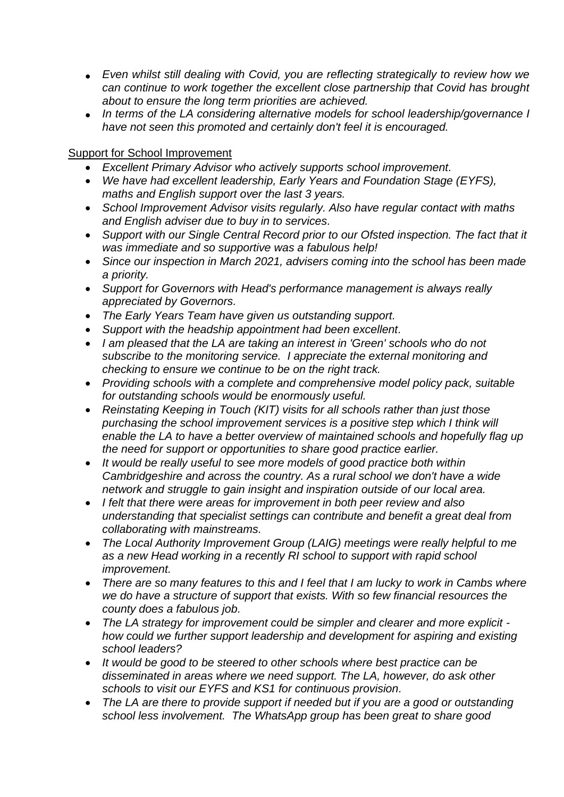- *Even whilst still dealing with Covid, you are reflecting strategically to review how we can continue to work together the excellent close partnership that Covid has brought about to ensure the long term priorities are achieved.*
- *In terms of the LA considering alternative models for school leadership/governance I have not seen this promoted and certainly don't feel it is encouraged.*

### Support for School Improvement

- *Excellent Primary Advisor who actively supports school improvement.*
- *We have had excellent leadership, Early Years and Foundation Stage (EYFS), maths and English support over the last 3 years.*
- *School Improvement Advisor visits regularly. Also have regular contact with maths and English adviser due to buy in to services.*
- *Support with our Single Central Record prior to our Ofsted inspection. The fact that it was immediate and so supportive was a fabulous help!*
- *Since our inspection in March 2021, advisers coming into the school has been made a priority.*
- *Support for Governors with Head's performance management is always really appreciated by Governors.*
- *The Early Years Team have given us outstanding support.*
- *Support with the headship appointment had been excellent.*
- *I am pleased that the LA are taking an interest in 'Green' schools who do not subscribe to the monitoring service. I appreciate the external monitoring and checking to ensure we continue to be on the right track.*
- *Providing schools with a complete and comprehensive model policy pack, suitable for outstanding schools would be enormously useful.*
- *Reinstating Keeping in Touch (KIT) visits for all schools rather than just those purchasing the school improvement services is a positive step which I think will enable the LA to have a better overview of maintained schools and hopefully flag up the need for support or opportunities to share good practice earlier.*
- *It would be really useful to see more models of good practice both within Cambridgeshire and across the country. As a rural school we don't have a wide network and struggle to gain insight and inspiration outside of our local area.*
- *I felt that there were areas for improvement in both peer review and also understanding that specialist settings can contribute and benefit a great deal from collaborating with mainstreams.*
- *The Local Authority Improvement Group (LAIG) meetings were really helpful to me as a new Head working in a recently RI school to support with rapid school improvement.*
- *There are so many features to this and I feel that I am lucky to work in Cambs where we do have a structure of support that exists. With so few financial resources the county does a fabulous job.*
- *The LA strategy for improvement could be simpler and clearer and more explicit how could we further support leadership and development for aspiring and existing school leaders?*
- *It would be good to be steered to other schools where best practice can be disseminated in areas where we need support. The LA, however, do ask other schools to visit our EYFS and KS1 for continuous provision.*
- *The LA are there to provide support if needed but if you are a good or outstanding school less involvement. The WhatsApp group has been great to share good*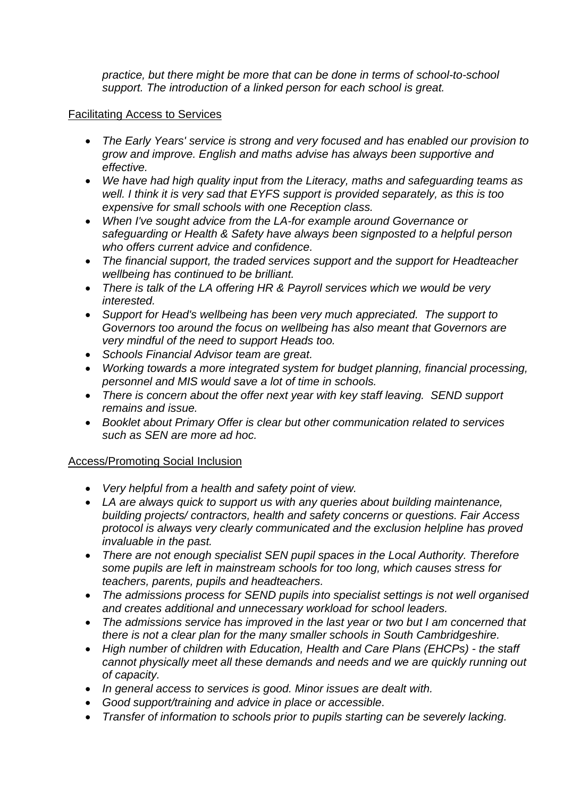*practice, but there might be more that can be done in terms of school-to-school support. The introduction of a linked person for each school is great.*

### Facilitating Access to Services

- *The Early Years' service is strong and very focused and has enabled our provision to grow and improve. English and maths advise has always been supportive and effective.*
- *We have had high quality input from the Literacy, maths and safeguarding teams as well. I think it is very sad that EYFS support is provided separately, as this is too expensive for small schools with one Reception class.*
- *When I've sought advice from the LA-for example around Governance or safeguarding or Health & Safety have always been signposted to a helpful person who offers current advice and confidence.*
- *The financial support, the traded services support and the support for Headteacher wellbeing has continued to be brilliant.*
- *There is talk of the LA offering HR & Payroll services which we would be very interested.*
- *Support for Head's wellbeing has been very much appreciated. The support to Governors too around the focus on wellbeing has also meant that Governors are very mindful of the need to support Heads too.*
- *Schools Financial Advisor team are great.*
- *Working towards a more integrated system for budget planning, financial processing, personnel and MIS would save a lot of time in schools.*
- *There is concern about the offer next year with key staff leaving. SEND support remains and issue.*
- *Booklet about Primary Offer is clear but other communication related to services such as SEN are more ad hoc.*

### Access/Promoting Social Inclusion

- *Very helpful from a health and safety point of view.*
- *LA are always quick to support us with any queries about building maintenance, building projects/ contractors, health and safety concerns or questions. Fair Access protocol is always very clearly communicated and the exclusion helpline has proved invaluable in the past.*
- *There are not enough specialist SEN pupil spaces in the Local Authority. Therefore some pupils are left in mainstream schools for too long, which causes stress for teachers, parents, pupils and headteachers.*
- *The admissions process for SEND pupils into specialist settings is not well organised and creates additional and unnecessary workload for school leaders.*
- *The admissions service has improved in the last year or two but I am concerned that there is not a clear plan for the many smaller schools in South Cambridgeshire.*
- *High number of children with Education, Health and Care Plans (EHCPs) - the staff cannot physically meet all these demands and needs and we are quickly running out of capacity.*
- *In general access to services is good. Minor issues are dealt with.*
- *Good support/training and advice in place or accessible.*
- *Transfer of information to schools prior to pupils starting can be severely lacking.*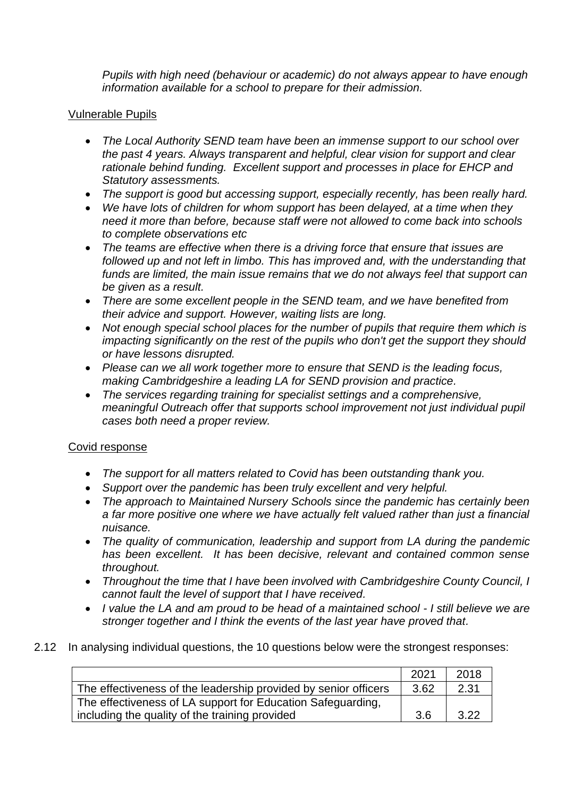*Pupils with high need (behaviour or academic) do not always appear to have enough information available for a school to prepare for their admission.*

### Vulnerable Pupils

- *The Local Authority SEND team have been an immense support to our school over the past 4 years. Always transparent and helpful, clear vision for support and clear rationale behind funding. Excellent support and processes in place for EHCP and Statutory assessments.*
- *The support is good but accessing support, especially recently, has been really hard.*
- *We have lots of children for whom support has been delayed, at a time when they need it more than before, because staff were not allowed to come back into schools to complete observations etc*
- *The teams are effective when there is a driving force that ensure that issues are followed up and not left in limbo. This has improved and, with the understanding that funds are limited, the main issue remains that we do not always feel that support can be given as a result.*
- *There are some excellent people in the SEND team, and we have benefited from their advice and support. However, waiting lists are long.*
- Not enough special school places for the number of pupils that require them which is *impacting significantly on the rest of the pupils who don't get the support they should or have lessons disrupted.*
- *Please can we all work together more to ensure that SEND is the leading focus, making Cambridgeshire a leading LA for SEND provision and practice.*
- *The services regarding training for specialist settings and a comprehensive, meaningful Outreach offer that supports school improvement not just individual pupil cases both need a proper review.*

### Covid response

- *The support for all matters related to Covid has been outstanding thank you.*
- *Support over the pandemic has been truly excellent and very helpful.*
- *The approach to Maintained Nursery Schools since the pandemic has certainly been a far more positive one where we have actually felt valued rather than just a financial nuisance.*
- *The quality of communication, leadership and support from LA during the pandemic has been excellent. It has been decisive, relevant and contained common sense throughout.*
- *Throughout the time that I have been involved with Cambridgeshire County Council, I cannot fault the level of support that I have received.*
- *I value the LA and am proud to be head of a maintained school - I still believe we are stronger together and I think the events of the last year have proved that.*
- 2.12 In analysing individual questions, the 10 questions below were the strongest responses:

|                                                                 | 202 <sup>1</sup> | 2018 |
|-----------------------------------------------------------------|------------------|------|
| The effectiveness of the leadership provided by senior officers | 3.62             | 2.31 |
| The effectiveness of LA support for Education Safeguarding,     |                  |      |
| including the quality of the training provided                  | 3.6              | 3.22 |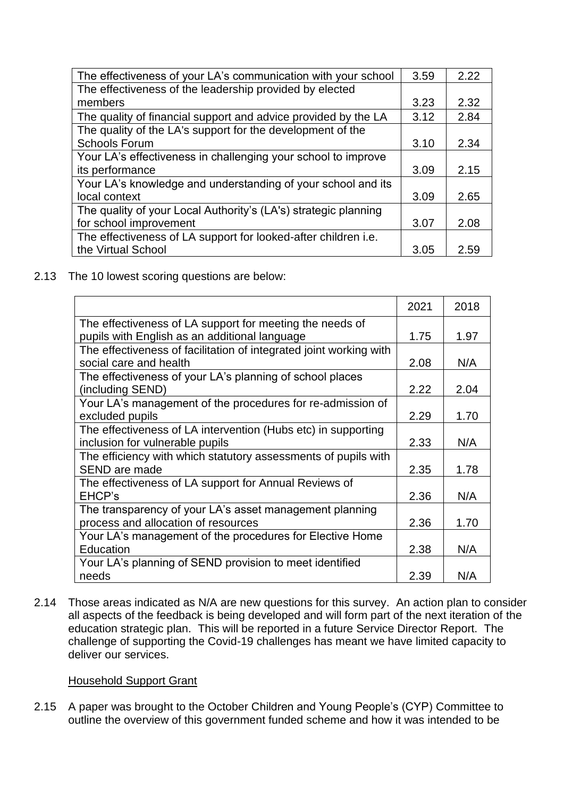| The effectiveness of your LA's communication with your school   | 3.59 | 2.22 |
|-----------------------------------------------------------------|------|------|
| The effectiveness of the leadership provided by elected         |      |      |
| members                                                         | 3.23 | 2.32 |
| The quality of financial support and advice provided by the LA  | 3.12 | 2.84 |
| The quality of the LA's support for the development of the      |      |      |
| <b>Schools Forum</b>                                            | 3.10 | 2.34 |
| Your LA's effectiveness in challenging your school to improve   |      |      |
| its performance                                                 | 3.09 | 2.15 |
| Your LA's knowledge and understanding of your school and its    |      |      |
| local context                                                   | 3.09 | 2.65 |
| The quality of your Local Authority's (LA's) strategic planning |      |      |
| for school improvement                                          | 3.07 | 2.08 |
| The effectiveness of LA support for looked-after children i.e.  |      |      |
| the Virtual School                                              | 3.05 | 2.59 |

2.13 The 10 lowest scoring questions are below:

|                                                                    | 2021 | 2018 |
|--------------------------------------------------------------------|------|------|
| The effectiveness of LA support for meeting the needs of           |      |      |
| pupils with English as an additional language                      | 1.75 | 1.97 |
| The effectiveness of facilitation of integrated joint working with |      |      |
| social care and health                                             | 2.08 | N/A  |
| The effectiveness of your LA's planning of school places           |      |      |
| (including SEND)                                                   | 2.22 | 2.04 |
| Your LA's management of the procedures for re-admission of         |      |      |
| excluded pupils                                                    | 2.29 | 1.70 |
| The effectiveness of LA intervention (Hubs etc) in supporting      |      |      |
| inclusion for vulnerable pupils                                    | 2.33 | N/A  |
| The efficiency with which statutory assessments of pupils with     |      |      |
| SEND are made                                                      | 2.35 | 1.78 |
| The effectiveness of LA support for Annual Reviews of              |      |      |
| EHCP's                                                             | 2.36 | N/A  |
| The transparency of your LA's asset management planning            |      |      |
| process and allocation of resources                                | 2.36 | 1.70 |
| Your LA's management of the procedures for Elective Home           |      |      |
| Education                                                          | 2.38 | N/A  |
| Your LA's planning of SEND provision to meet identified            |      |      |
| needs                                                              | 2.39 | N/A  |

2.14 Those areas indicated as N/A are new questions for this survey. An action plan to consider all aspects of the feedback is being developed and will form part of the next iteration of the education strategic plan. This will be reported in a future Service Director Report. The challenge of supporting the Covid-19 challenges has meant we have limited capacity to deliver our services.

#### Household Support Grant

2.15 A paper was brought to the October Children and Young People's (CYP) Committee to outline the overview of this government funded scheme and how it was intended to be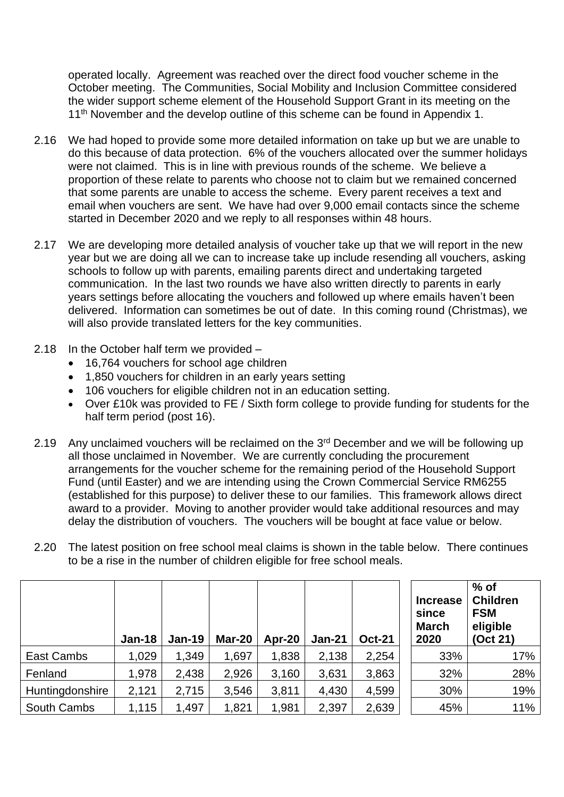operated locally. Agreement was reached over the direct food voucher scheme in the October meeting. The Communities, Social Mobility and Inclusion Committee considered the wider support scheme element of the Household Support Grant in its meeting on the 11<sup>th</sup> November and the develop outline of this scheme can be found in Appendix 1.

- 2.16 We had hoped to provide some more detailed information on take up but we are unable to do this because of data protection. 6% of the vouchers allocated over the summer holidays were not claimed. This is in line with previous rounds of the scheme. We believe a proportion of these relate to parents who choose not to claim but we remained concerned that some parents are unable to access the scheme. Every parent receives a text and email when vouchers are sent. We have had over 9,000 email contacts since the scheme started in December 2020 and we reply to all responses within 48 hours.
- 2.17 We are developing more detailed analysis of voucher take up that we will report in the new year but we are doing all we can to increase take up include resending all vouchers, asking schools to follow up with parents, emailing parents direct and undertaking targeted communication. In the last two rounds we have also written directly to parents in early years settings before allocating the vouchers and followed up where emails haven't been delivered. Information can sometimes be out of date. In this coming round (Christmas), we will also provide translated letters for the key communities.
- 2.18 In the October half term we provided
	- 16,764 vouchers for school age children
	- 1,850 vouchers for children in an early years setting
	- 106 vouchers for eligible children not in an education setting.
	- Over £10k was provided to FE / Sixth form college to provide funding for students for the half term period (post 16).
- 2.19 Any unclaimed vouchers will be reclaimed on the 3<sup>rd</sup> December and we will be following up all those unclaimed in November. We are currently concluding the procurement arrangements for the voucher scheme for the remaining period of the Household Support Fund (until Easter) and we are intending using the Crown Commercial Service RM6255 (established for this purpose) to deliver these to our families. This framework allows direct award to a provider. Moving to another provider would take additional resources and may delay the distribution of vouchers. The vouchers will be bought at face value or below.

|                    | $Jan-18$ | $Jan-19$ | <b>Mar-20</b> | Apr-20 | <b>Jan-21</b> | <b>Oct-21</b> | <b>Increase</b><br>since<br><b>March</b><br>2020 | $%$ of<br><b>Children</b><br><b>FSM</b><br>eligible<br>(Oct 21) |
|--------------------|----------|----------|---------------|--------|---------------|---------------|--------------------------------------------------|-----------------------------------------------------------------|
| East Cambs         | 1,029    | 1,349    | 1,697         | 1,838  | 2,138         | 2,254         | 33%                                              | 17%                                                             |
| Fenland            | 1,978    | 2,438    | 2,926         | 3,160  | 3,631         | 3,863         | 32%                                              | 28%                                                             |
| Huntingdonshire    | 2,121    | 2,715    | 3,546         | 3,811  | 4,430         | 4,599         | 30%                                              | 19%                                                             |
| <b>South Cambs</b> | 1,115    | 1,497    | 1,821         | 1,981  | 2,397         | 2,639         | 45%                                              | 11%                                                             |

2.20 The latest position on free school meal claims is shown in the table below. There continues to be a rise in the number of children eligible for free school meals.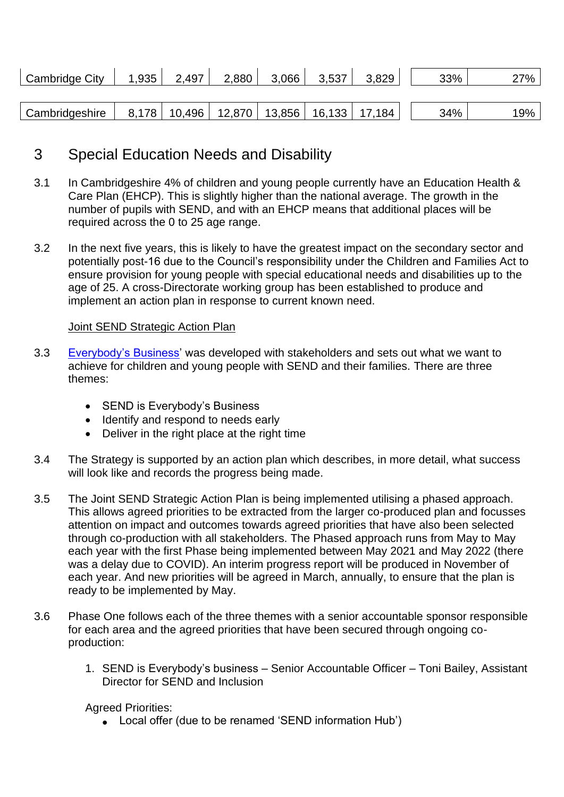| Cambridge City | 1,935 | 2,497 | 2,880 | 3,066 | 3,537 | 3,829                                              | 33% | 27% |
|----------------|-------|-------|-------|-------|-------|----------------------------------------------------|-----|-----|
|                |       |       |       |       |       |                                                    |     |     |
| Cambridgeshire |       |       |       |       |       | 8,178   10,496   12,870   13,856   16,133   17,184 | 34% | 19% |

# 3 Special Education Needs and Disability

- 3.1 In Cambridgeshire 4% of children and young people currently have an Education Health & Care Plan (EHCP). This is slightly higher than the national average. The growth in the number of pupils with SEND, and with an EHCP means that additional places will be required across the 0 to 25 age range.
- 3.2 In the next five years, this is likely to have the greatest impact on the secondary sector and potentially post-16 due to the Council's responsibility under the Children and Families Act to ensure provision for young people with special educational needs and disabilities up to the age of 25. A cross-Directorate working group has been established to produce and implement an action plan in response to current known need.

### Joint SEND Strategic Action Plan

- 3.3 [Everybody's Business'](https://www.cambridgeshire.gov.uk/residents/children-and-families/local-offer/about-cambridgeshire-s-local-offer/send-strategies-and-policies#:~:text=SEND%20strategies%20and%20policies%201%20SEND%20is%20Everybody%E2%80%99s,capital%20funding.%20...%203%20Schools%20and%20settings.%20) was developed with stakeholders and sets out what we want to achieve for children and young people with SEND and their families. There are three themes:
	- SEND is Everybody's Business
	- Identify and respond to needs early
	- Deliver in the right place at the right time
- 3.4 The Strategy is supported by an action plan which describes, in more detail, what success will look like and records the progress being made.
- 3.5 The Joint SEND Strategic Action Plan is being implemented utilising a phased approach. This allows agreed priorities to be extracted from the larger co-produced plan and focusses attention on impact and outcomes towards agreed priorities that have also been selected through co-production with all stakeholders. The Phased approach runs from May to May each year with the first Phase being implemented between May 2021 and May 2022 (there was a delay due to COVID). An interim progress report will be produced in November of each year. And new priorities will be agreed in March, annually, to ensure that the plan is ready to be implemented by May.
- 3.6 Phase One follows each of the three themes with a senior accountable sponsor responsible for each area and the agreed priorities that have been secured through ongoing coproduction:
	- 1. SEND is Everybody's business Senior Accountable Officer Toni Bailey, Assistant Director for SEND and Inclusion

Agreed Priorities:

• Local offer (due to be renamed 'SEND information Hub')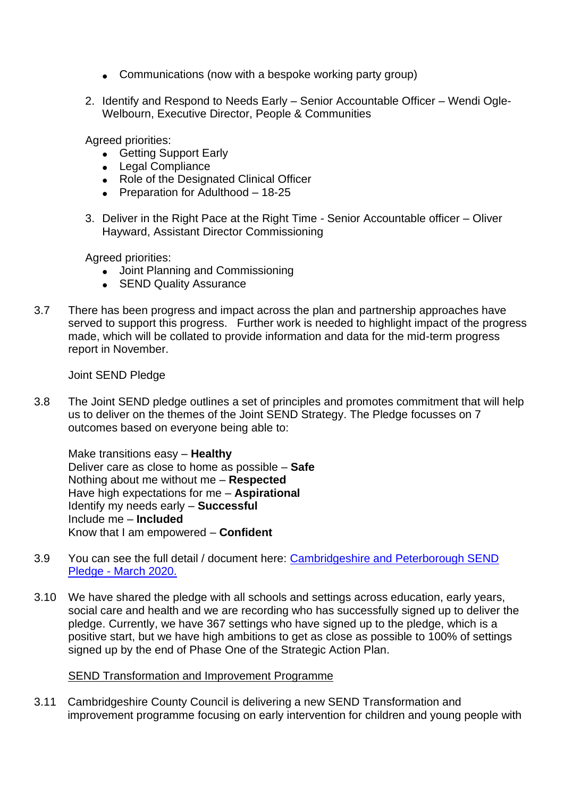- Communications (now with a bespoke working party group)
- 2. Identify and Respond to Needs Early Senior Accountable Officer Wendi Ogle-Welbourn, Executive Director, People & Communities

Agreed priorities:

- Getting Support Early
- Legal Compliance
- Role of the Designated Clinical Officer
- Preparation for Adulthood 18-25
- 3. Deliver in the Right Pace at the Right Time Senior Accountable officer Oliver Hayward, Assistant Director Commissioning

Agreed priorities:

- Joint Planning and Commissioning
- SEND Quality Assurance
- 3.7 There has been progress and impact across the plan and partnership approaches have served to support this progress. Further work is needed to highlight impact of the progress made, which will be collated to provide information and data for the mid-term progress report in November.

Joint SEND Pledge

3.8 The Joint SEND pledge outlines a set of principles and promotes commitment that will help us to deliver on the themes of the Joint SEND Strategy. The Pledge focusses on 7 outcomes based on everyone being able to:

Make transitions easy – **Healthy**  Deliver care as close to home as possible – **Safe** Nothing about me without me – **Respected** Have high expectations for me – **Aspirational** Identify my needs early – **Successful**  Include me – **Included**  Know that I am empowered – **Confident** 

- 3.9 You can see the full detail / document here: [Cambridgeshire and Peterborough SEND](https://www.cambridgeshire.gov.uk/asset-library/cambridgeshire-and-peterborough-send-pledge-march-2020.pdf)  Pledge - [March 2020.](https://www.cambridgeshire.gov.uk/asset-library/cambridgeshire-and-peterborough-send-pledge-march-2020.pdf)
- 3.10 We have shared the pledge with all schools and settings across education, early years, social care and health and we are recording who has successfully signed up to deliver the pledge. Currently, we have 367 settings who have signed up to the pledge, which is a positive start, but we have high ambitions to get as close as possible to 100% of settings signed up by the end of Phase One of the Strategic Action Plan.

#### SEND Transformation and Improvement Programme

3.11 Cambridgeshire County Council is delivering a new SEND Transformation and improvement programme focusing on early intervention for children and young people with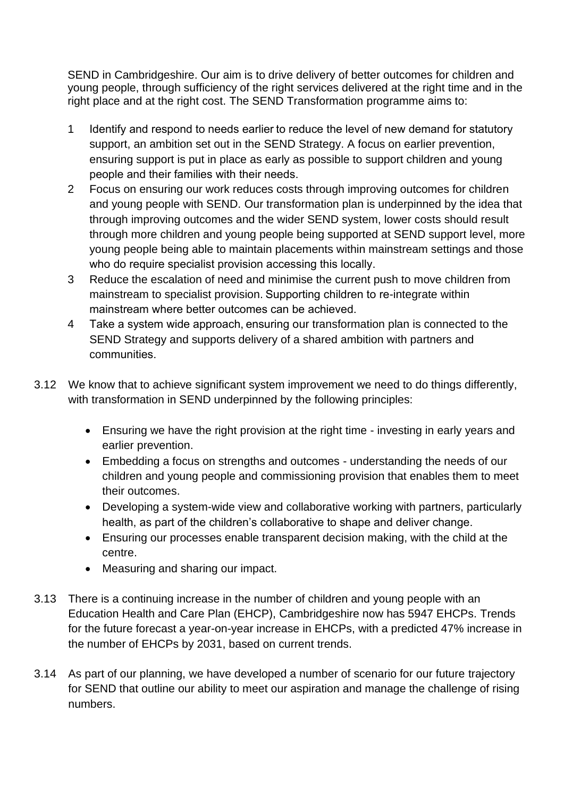SEND in Cambridgeshire. Our aim is to drive delivery of better outcomes for children and young people, through sufficiency of the right services delivered at the right time and in the right place and at the right cost. The SEND Transformation programme aims to:

- 1 Identify and respond to needs earlier to reduce the level of new demand for statutory support, an ambition set out in the SEND Strategy. A focus on earlier prevention, ensuring support is put in place as early as possible to support children and young people and their families with their needs.
- 2 Focus on ensuring our work reduces costs through improving outcomes for children and young people with SEND. Our transformation plan is underpinned by the idea that through improving outcomes and the wider SEND system, lower costs should result through more children and young people being supported at SEND support level, more young people being able to maintain placements within mainstream settings and those who do require specialist provision accessing this locally.
- 3 Reduce the escalation of need and minimise the current push to move children from mainstream to specialist provision. Supporting children to re-integrate within mainstream where better outcomes can be achieved.
- 4 Take a system wide approach, ensuring our transformation plan is connected to the SEND Strategy and supports delivery of a shared ambition with partners and communities.
- 3.12 We know that to achieve significant system improvement we need to do things differently, with transformation in SEND underpinned by the following principles:
	- Ensuring we have the right provision at the right time investing in early years and earlier prevention.
	- Embedding a focus on strengths and outcomes understanding the needs of our children and young people and commissioning provision that enables them to meet their outcomes.
	- Developing a system-wide view and collaborative working with partners, particularly health, as part of the children's collaborative to shape and deliver change.
	- Ensuring our processes enable transparent decision making, with the child at the centre.
	- Measuring and sharing our impact.
- 3.13 There is a continuing increase in the number of children and young people with an Education Health and Care Plan (EHCP), Cambridgeshire now has 5947 EHCPs. Trends for the future forecast a year-on-year increase in EHCPs, with a predicted 47% increase in the number of EHCPs by 2031, based on current trends.
- 3.14 As part of our planning, we have developed a number of scenario for our future trajectory for SEND that outline our ability to meet our aspiration and manage the challenge of rising numbers.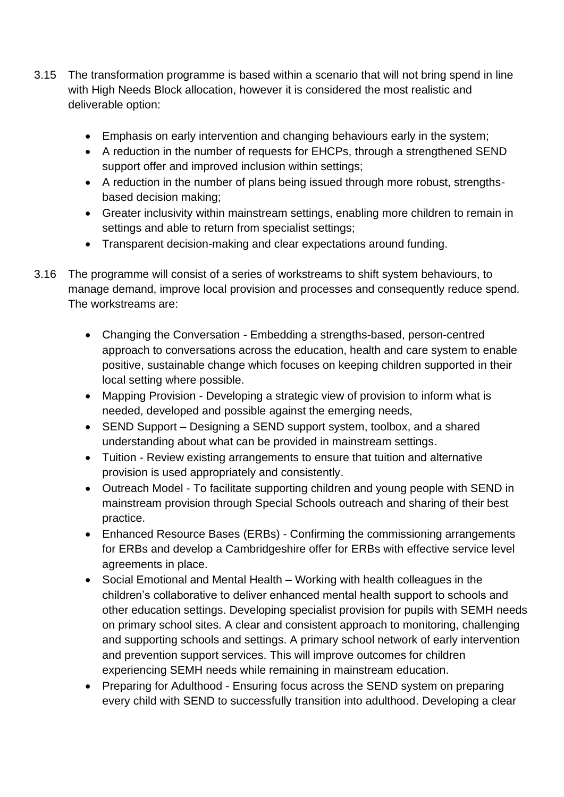- 3.15 The transformation programme is based within a scenario that will not bring spend in line with High Needs Block allocation, however it is considered the most realistic and deliverable option:
	- Emphasis on early intervention and changing behaviours early in the system;
	- A reduction in the number of requests for EHCPs, through a strengthened SEND support offer and improved inclusion within settings;
	- A reduction in the number of plans being issued through more robust, strengthsbased decision making;
	- Greater inclusivity within mainstream settings, enabling more children to remain in settings and able to return from specialist settings;
	- Transparent decision-making and clear expectations around funding.
- 3.16 The programme will consist of a series of workstreams to shift system behaviours, to manage demand, improve local provision and processes and consequently reduce spend. The workstreams are:
	- Changing the Conversation Embedding a strengths-based, person-centred approach to conversations across the education, health and care system to enable positive, sustainable change which focuses on keeping children supported in their local setting where possible.
	- Mapping Provision Developing a strategic view of provision to inform what is needed, developed and possible against the emerging needs,
	- SEND Support Designing a SEND support system, toolbox, and a shared understanding about what can be provided in mainstream settings.
	- Tuition Review existing arrangements to ensure that tuition and alternative provision is used appropriately and consistently.
	- Outreach Model To facilitate supporting children and young people with SEND in mainstream provision through Special Schools outreach and sharing of their best practice.
	- Enhanced Resource Bases (ERBs) Confirming the commissioning arrangements for ERBs and develop a Cambridgeshire offer for ERBs with effective service level agreements in place.
	- Social Emotional and Mental Health Working with health colleagues in the children's collaborative to deliver enhanced mental health support to schools and other education settings. Developing specialist provision for pupils with SEMH needs on primary school sites. A clear and consistent approach to monitoring, challenging and supporting schools and settings. A primary school network of early intervention and prevention support services. This will improve outcomes for children experiencing SEMH needs while remaining in mainstream education.
	- Preparing for Adulthood Ensuring focus across the SEND system on preparing every child with SEND to successfully transition into adulthood. Developing a clear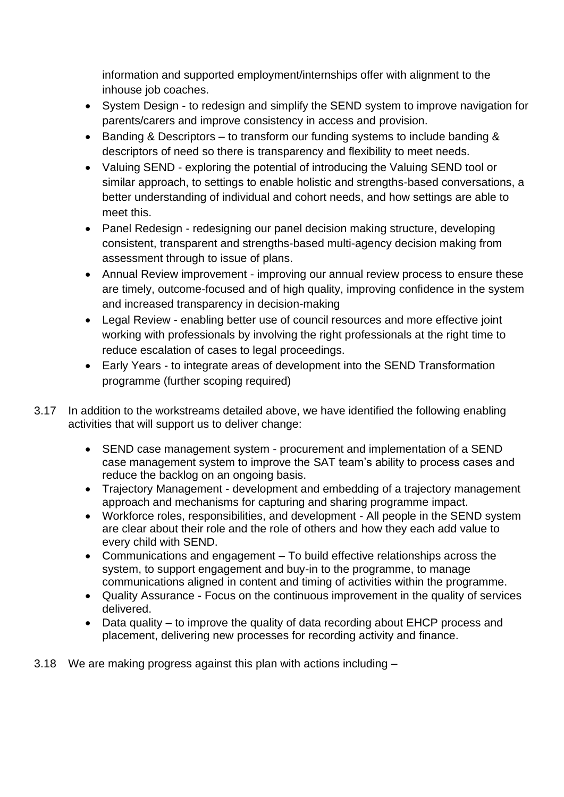information and supported employment/internships offer with alignment to the inhouse job coaches.

- System Design to redesign and simplify the SEND system to improve navigation for parents/carers and improve consistency in access and provision.
- Banding & Descriptors to transform our funding systems to include banding & descriptors of need so there is transparency and flexibility to meet needs.
- Valuing SEND exploring the potential of introducing the Valuing SEND tool or similar approach, to settings to enable holistic and strengths-based conversations, a better understanding of individual and cohort needs, and how settings are able to meet this.
- Panel Redesign redesigning our panel decision making structure, developing consistent, transparent and strengths-based multi-agency decision making from assessment through to issue of plans.
- Annual Review improvement improving our annual review process to ensure these are timely, outcome-focused and of high quality, improving confidence in the system and increased transparency in decision-making
- Legal Review enabling better use of council resources and more effective joint working with professionals by involving the right professionals at the right time to reduce escalation of cases to legal proceedings.
- Early Years to integrate areas of development into the SEND Transformation programme (further scoping required)
- 3.17 In addition to the workstreams detailed above, we have identified the following enabling activities that will support us to deliver change:
	- SEND case management system procurement and implementation of a SEND case management system to improve the SAT team's ability to process cases and reduce the backlog on an ongoing basis.
	- Trajectory Management development and embedding of a trajectory management approach and mechanisms for capturing and sharing programme impact.
	- Workforce roles, responsibilities, and development All people in the SEND system are clear about their role and the role of others and how they each add value to every child with SEND.
	- Communications and engagement To build effective relationships across the system, to support engagement and buy-in to the programme, to manage communications aligned in content and timing of activities within the programme.
	- Quality Assurance Focus on the continuous improvement in the quality of services delivered.
	- Data quality to improve the quality of data recording about EHCP process and placement, delivering new processes for recording activity and finance.
- 3.18 We are making progress against this plan with actions including –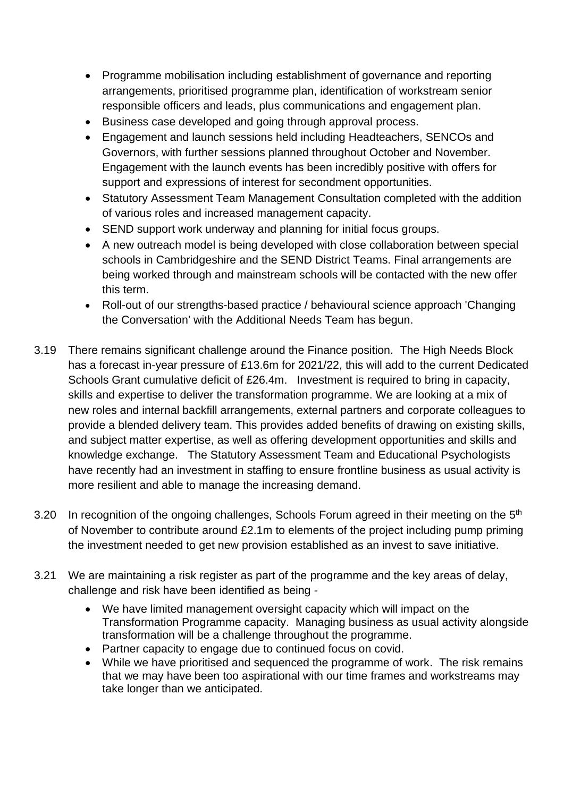- Programme mobilisation including establishment of governance and reporting arrangements, prioritised programme plan, identification of workstream senior responsible officers and leads, plus communications and engagement plan.
- Business case developed and going through approval process.
- Engagement and launch sessions held including Headteachers, SENCOs and Governors, with further sessions planned throughout October and November. Engagement with the launch events has been incredibly positive with offers for support and expressions of interest for secondment opportunities.
- Statutory Assessment Team Management Consultation completed with the addition of various roles and increased management capacity.
- SEND support work underway and planning for initial focus groups.
- A new outreach model is being developed with close collaboration between special schools in Cambridgeshire and the SEND District Teams. Final arrangements are being worked through and mainstream schools will be contacted with the new offer this term.
- Roll-out of our strengths-based practice / behavioural science approach 'Changing the Conversation' with the Additional Needs Team has begun.
- 3.19 There remains significant challenge around the Finance position. The High Needs Block has a forecast in-year pressure of £13.6m for 2021/22, this will add to the current Dedicated Schools Grant cumulative deficit of £26.4m. Investment is required to bring in capacity, skills and expertise to deliver the transformation programme. We are looking at a mix of new roles and internal backfill arrangements, external partners and corporate colleagues to provide a blended delivery team. This provides added benefits of drawing on existing skills, and subject matter expertise, as well as offering development opportunities and skills and knowledge exchange. The Statutory Assessment Team and Educational Psychologists have recently had an investment in staffing to ensure frontline business as usual activity is more resilient and able to manage the increasing demand.
- 3.20 In recognition of the ongoing challenges, Schools Forum agreed in their meeting on the 5<sup>th</sup> of November to contribute around £2.1m to elements of the project including pump priming the investment needed to get new provision established as an invest to save initiative.
- 3.21 We are maintaining a risk register as part of the programme and the key areas of delay, challenge and risk have been identified as being -
	- We have limited management oversight capacity which will impact on the Transformation Programme capacity. Managing business as usual activity alongside transformation will be a challenge throughout the programme.
	- Partner capacity to engage due to continued focus on covid.
	- While we have prioritised and sequenced the programme of work. The risk remains that we may have been too aspirational with our time frames and workstreams may take longer than we anticipated.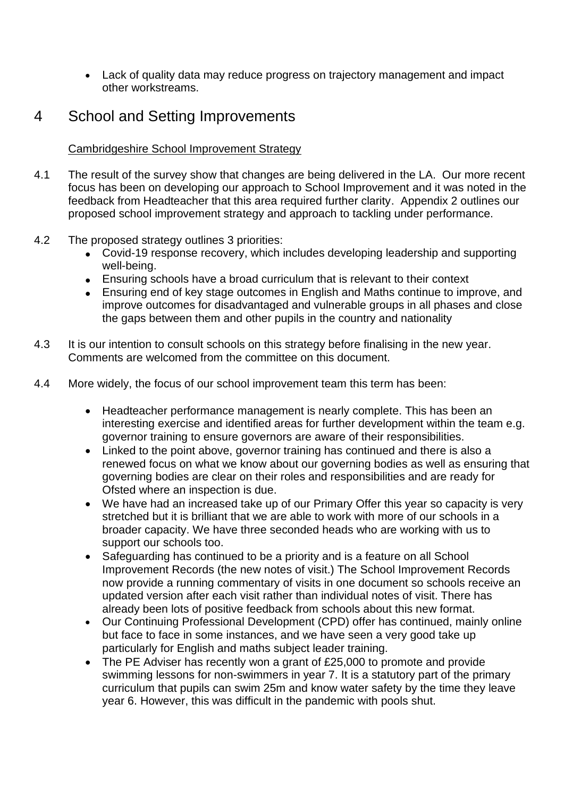• Lack of quality data may reduce progress on trajectory management and impact other workstreams.

# 4 School and Setting Improvements

### Cambridgeshire School Improvement Strategy

- 4.1 The result of the survey show that changes are being delivered in the LA. Our more recent focus has been on developing our approach to School Improvement and it was noted in the feedback from Headteacher that this area required further clarity. Appendix 2 outlines our proposed school improvement strategy and approach to tackling under performance.
- 4.2 The proposed strategy outlines 3 priorities:
	- Covid-19 response recovery, which includes developing leadership and supporting well-being.
	- Ensuring schools have a broad curriculum that is relevant to their context
	- Ensuring end of key stage outcomes in English and Maths continue to improve, and improve outcomes for disadvantaged and vulnerable groups in all phases and close the gaps between them and other pupils in the country and nationality
- 4.3 It is our intention to consult schools on this strategy before finalising in the new year. Comments are welcomed from the committee on this document.
- 4.4 More widely, the focus of our school improvement team this term has been:
	- Headteacher performance management is nearly complete. This has been an interesting exercise and identified areas for further development within the team e.g. governor training to ensure governors are aware of their responsibilities.
	- Linked to the point above, governor training has continued and there is also a renewed focus on what we know about our governing bodies as well as ensuring that governing bodies are clear on their roles and responsibilities and are ready for Ofsted where an inspection is due.
	- We have had an increased take up of our Primary Offer this year so capacity is very stretched but it is brilliant that we are able to work with more of our schools in a broader capacity. We have three seconded heads who are working with us to support our schools too.
	- Safeguarding has continued to be a priority and is a feature on all School Improvement Records (the new notes of visit.) The School Improvement Records now provide a running commentary of visits in one document so schools receive an updated version after each visit rather than individual notes of visit. There has already been lots of positive feedback from schools about this new format.
	- Our Continuing Professional Development (CPD) offer has continued, mainly online but face to face in some instances, and we have seen a very good take up particularly for English and maths subject leader training.
	- The PE Adviser has recently won a grant of £25,000 to promote and provide swimming lessons for non-swimmers in year 7. It is a statutory part of the primary curriculum that pupils can swim 25m and know water safety by the time they leave year 6. However, this was difficult in the pandemic with pools shut.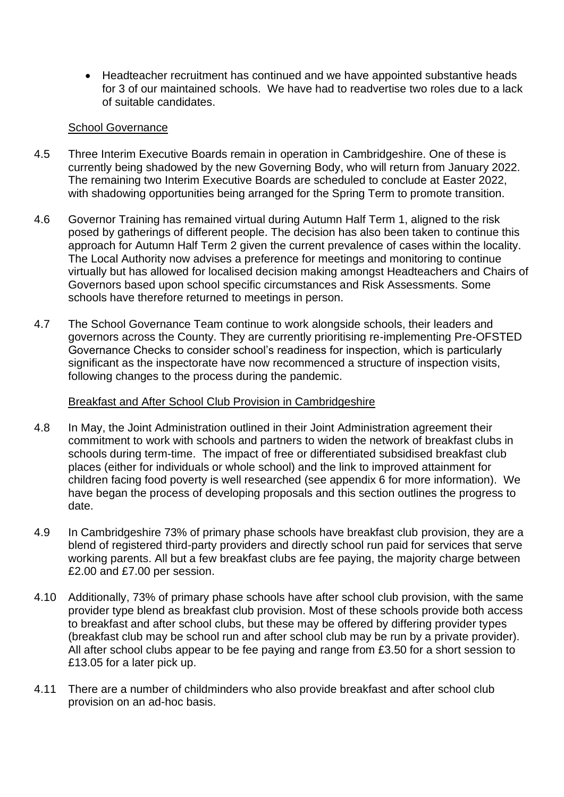• Headteacher recruitment has continued and we have appointed substantive heads for 3 of our maintained schools. We have had to readvertise two roles due to a lack of suitable candidates.

#### School Governance

- 4.5 Three Interim Executive Boards remain in operation in Cambridgeshire. One of these is currently being shadowed by the new Governing Body, who will return from January 2022. The remaining two Interim Executive Boards are scheduled to conclude at Easter 2022, with shadowing opportunities being arranged for the Spring Term to promote transition.
- 4.6 Governor Training has remained virtual during Autumn Half Term 1, aligned to the risk posed by gatherings of different people. The decision has also been taken to continue this approach for Autumn Half Term 2 given the current prevalence of cases within the locality. The Local Authority now advises a preference for meetings and monitoring to continue virtually but has allowed for localised decision making amongst Headteachers and Chairs of Governors based upon school specific circumstances and Risk Assessments. Some schools have therefore returned to meetings in person.
- 4.7 The School Governance Team continue to work alongside schools, their leaders and governors across the County. They are currently prioritising re-implementing Pre-OFSTED Governance Checks to consider school's readiness for inspection, which is particularly significant as the inspectorate have now recommenced a structure of inspection visits, following changes to the process during the pandemic.

#### Breakfast and After School Club Provision in Cambridgeshire

- 4.8 In May, the Joint Administration outlined in their Joint Administration agreement their commitment to work with schools and partners to widen the network of breakfast clubs in schools during term-time. The impact of free or differentiated subsidised breakfast club places (either for individuals or whole school) and the link to improved attainment for children facing food poverty is well researched (see appendix 6 for more information). We have began the process of developing proposals and this section outlines the progress to date.
- 4.9 In Cambridgeshire 73% of primary phase schools have breakfast club provision, they are a blend of registered third-party providers and directly school run paid for services that serve working parents. All but a few breakfast clubs are fee paying, the majority charge between £2.00 and £7.00 per session.
- 4.10 Additionally, 73% of primary phase schools have after school club provision, with the same provider type blend as breakfast club provision. Most of these schools provide both access to breakfast and after school clubs, but these may be offered by differing provider types (breakfast club may be school run and after school club may be run by a private provider). All after school clubs appear to be fee paying and range from £3.50 for a short session to £13.05 for a later pick up.
- 4.11 There are a number of childminders who also provide breakfast and after school club provision on an ad-hoc basis.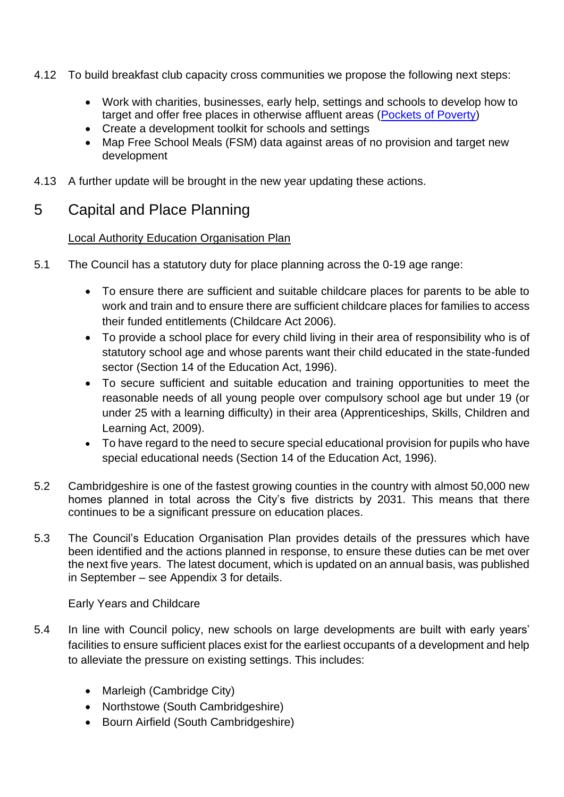- 4.12 To build breakfast club capacity cross communities we propose the following next steps:
	- Work with charities, businesses, early help, settings and schools to develop how to target and offer free places in otherwise affluent areas [\(Pockets of Poverty\)](https://dera.ioe.ac.uk/10991/7/DCSF-00170-2010_Redacted.pdf)
	- Create a development toolkit for schools and settings
	- Map Free School Meals (FSM) data against areas of no provision and target new development
- 4.13 A further update will be brought in the new year updating these actions.

# 5 Capital and Place Planning

### Local Authority Education Organisation Plan

- 5.1 The Council has a statutory duty for place planning across the 0-19 age range:
	- To ensure there are sufficient and suitable childcare places for parents to be able to work and train and to ensure there are sufficient childcare places for families to access their funded entitlements (Childcare Act 2006).
	- To provide a school place for every child living in their area of responsibility who is of statutory school age and whose parents want their child educated in the state-funded sector (Section 14 of the Education Act, 1996).
	- To secure sufficient and suitable education and training opportunities to meet the reasonable needs of all young people over compulsory school age but under 19 (or under 25 with a learning difficulty) in their area (Apprenticeships, Skills, Children and Learning Act, 2009).
	- To have regard to the need to secure special educational provision for pupils who have special educational needs (Section 14 of the Education Act, 1996).
- 5.2 Cambridgeshire is one of the fastest growing counties in the country with almost 50,000 new homes planned in total across the City's five districts by 2031. This means that there continues to be a significant pressure on education places.
- 5.3 The Council's Education Organisation Plan provides details of the pressures which have been identified and the actions planned in response, to ensure these duties can be met over the next five years. The latest document, which is updated on an annual basis, was published in September – see Appendix 3 for details.

Early Years and Childcare

- 5.4 In line with Council policy, new schools on large developments are built with early years' facilities to ensure sufficient places exist for the earliest occupants of a development and help to alleviate the pressure on existing settings. This includes:
	- Marleigh (Cambridge City)
	- Northstowe (South Cambridgeshire)
	- Bourn Airfield (South Cambridgeshire)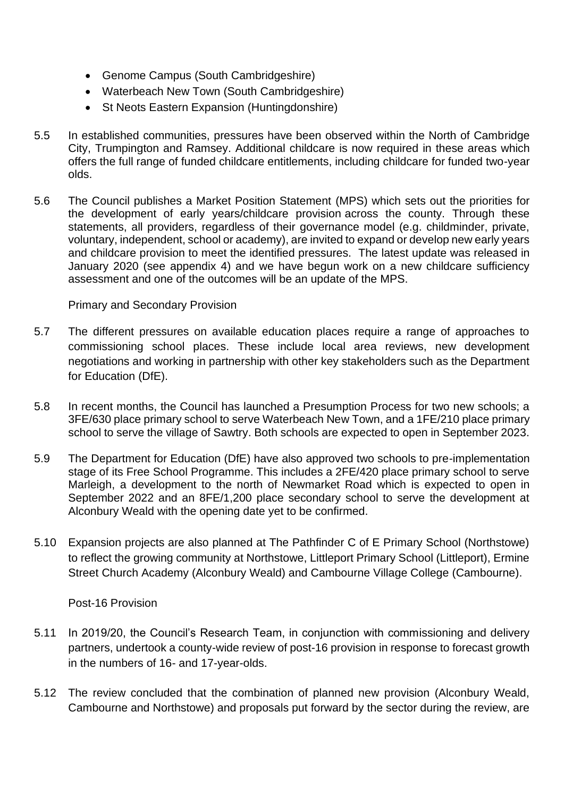- Genome Campus (South Cambridgeshire)
- Waterbeach New Town (South Cambridgeshire)
- St Neots Eastern Expansion (Huntingdonshire)
- 5.5 In established communities, pressures have been observed within the North of Cambridge City, Trumpington and Ramsey. Additional childcare is now required in these areas which offers the full range of funded childcare entitlements, including childcare for funded two-year olds.
- 5.6 The Council publishes a Market Position Statement (MPS) which sets out the priorities for the development of early years/childcare provision across the county. Through these statements, all providers, regardless of their governance model (e.g. childminder, private, voluntary, independent, school or academy), are invited to expand or develop new early years and childcare provision to meet the identified pressures. The latest update was released in January 2020 (see appendix 4) and we have begun work on a new childcare sufficiency assessment and one of the outcomes will be an update of the MPS.

Primary and Secondary Provision

- 5.7 The different pressures on available education places require a range of approaches to commissioning school places. These include local area reviews, new development negotiations and working in partnership with other key stakeholders such as the Department for Education (DfE).
- 5.8 In recent months, the Council has launched a Presumption Process for two new schools; a 3FE/630 place primary school to serve Waterbeach New Town, and a 1FE/210 place primary school to serve the village of Sawtry. Both schools are expected to open in September 2023.
- 5.9 The Department for Education (DfE) have also approved two schools to pre-implementation stage of its Free School Programme. This includes a 2FE/420 place primary school to serve Marleigh, a development to the north of Newmarket Road which is expected to open in September 2022 and an 8FE/1,200 place secondary school to serve the development at Alconbury Weald with the opening date yet to be confirmed.
- 5.10 Expansion projects are also planned at The Pathfinder C of E Primary School (Northstowe) to reflect the growing community at Northstowe, Littleport Primary School (Littleport), Ermine Street Church Academy (Alconbury Weald) and Cambourne Village College (Cambourne).

Post-16 Provision

- 5.11 In 2019/20, the Council's Research Team, in conjunction with commissioning and delivery partners, undertook a county-wide review of post-16 provision in response to forecast growth in the numbers of 16- and 17-year-olds.
- 5.12 The review concluded that the combination of planned new provision (Alconbury Weald, Cambourne and Northstowe) and proposals put forward by the sector during the review, are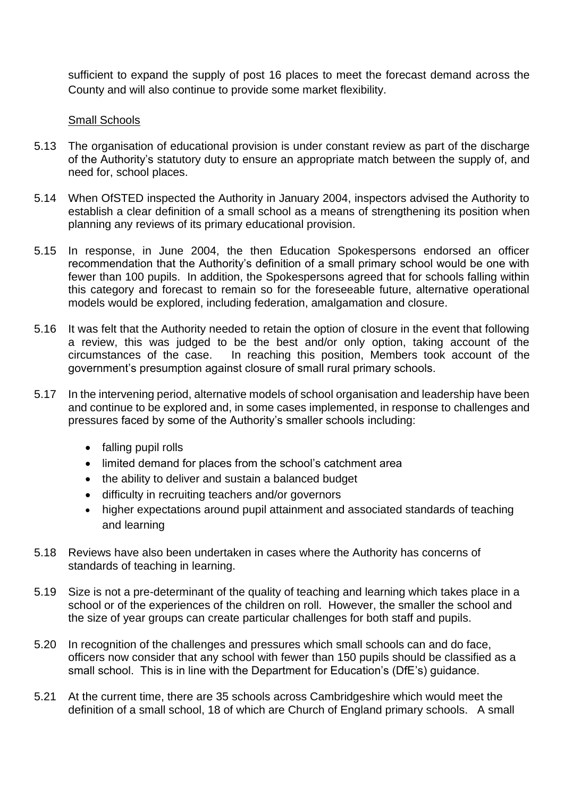sufficient to expand the supply of post 16 places to meet the forecast demand across the County and will also continue to provide some market flexibility.

#### Small Schools

- 5.13 The organisation of educational provision is under constant review as part of the discharge of the Authority's statutory duty to ensure an appropriate match between the supply of, and need for, school places.
- 5.14 When OfSTED inspected the Authority in January 2004, inspectors advised the Authority to establish a clear definition of a small school as a means of strengthening its position when planning any reviews of its primary educational provision.
- 5.15 In response, in June 2004, the then Education Spokespersons endorsed an officer recommendation that the Authority's definition of a small primary school would be one with fewer than 100 pupils. In addition, the Spokespersons agreed that for schools falling within this category and forecast to remain so for the foreseeable future, alternative operational models would be explored, including federation, amalgamation and closure.
- 5.16 It was felt that the Authority needed to retain the option of closure in the event that following a review, this was judged to be the best and/or only option, taking account of the circumstances of the case. In reaching this position, Members took account of the government's presumption against closure of small rural primary schools.
- 5.17 In the intervening period, alternative models of school organisation and leadership have been and continue to be explored and, in some cases implemented, in response to challenges and pressures faced by some of the Authority's smaller schools including:
	- falling pupil rolls
	- limited demand for places from the school's catchment area
	- the ability to deliver and sustain a balanced budget
	- difficulty in recruiting teachers and/or governors
	- higher expectations around pupil attainment and associated standards of teaching and learning
- 5.18 Reviews have also been undertaken in cases where the Authority has concerns of standards of teaching in learning.
- 5.19 Size is not a pre-determinant of the quality of teaching and learning which takes place in a school or of the experiences of the children on roll. However, the smaller the school and the size of year groups can create particular challenges for both staff and pupils.
- 5.20 In recognition of the challenges and pressures which small schools can and do face, officers now consider that any school with fewer than 150 pupils should be classified as a small school. This is in line with the Department for Education's (DfE's) guidance.
- 5.21 At the current time, there are 35 schools across Cambridgeshire which would meet the definition of a small school, 18 of which are Church of England primary schools. A small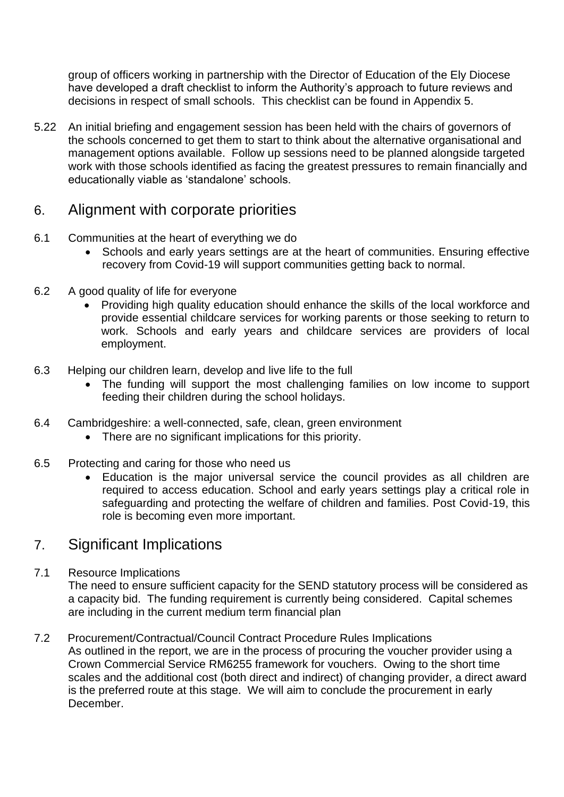group of officers working in partnership with the Director of Education of the Ely Diocese have developed a draft checklist to inform the Authority's approach to future reviews and decisions in respect of small schools. This checklist can be found in Appendix 5.

5.22 An initial briefing and engagement session has been held with the chairs of governors of the schools concerned to get them to start to think about the alternative organisational and management options available. Follow up sessions need to be planned alongside targeted work with those schools identified as facing the greatest pressures to remain financially and educationally viable as 'standalone' schools.

# 6. Alignment with corporate priorities

- 6.1 Communities at the heart of everything we do
	- Schools and early years settings are at the heart of communities. Ensuring effective recovery from Covid-19 will support communities getting back to normal.
- 6.2 A good quality of life for everyone
	- Providing high quality education should enhance the skills of the local workforce and provide essential childcare services for working parents or those seeking to return to work. Schools and early years and childcare services are providers of local employment.
- 6.3 Helping our children learn, develop and live life to the full
	- The funding will support the most challenging families on low income to support feeding their children during the school holidays.
- 6.4 Cambridgeshire: a well-connected, safe, clean, green environment
	- There are no significant implications for this priority.
- 6.5 Protecting and caring for those who need us
	- Education is the major universal service the council provides as all children are required to access education. School and early years settings play a critical role in safeguarding and protecting the welfare of children and families. Post Covid-19, this role is becoming even more important.

# 7. Significant Implications

7.1 Resource Implications

The need to ensure sufficient capacity for the SEND statutory process will be considered as a capacity bid. The funding requirement is currently being considered. Capital schemes are including in the current medium term financial plan

7.2 Procurement/Contractual/Council Contract Procedure Rules Implications As outlined in the report, we are in the process of procuring the voucher provider using a Crown Commercial Service RM6255 framework for vouchers. Owing to the short time scales and the additional cost (both direct and indirect) of changing provider, a direct award is the preferred route at this stage. We will aim to conclude the procurement in early December.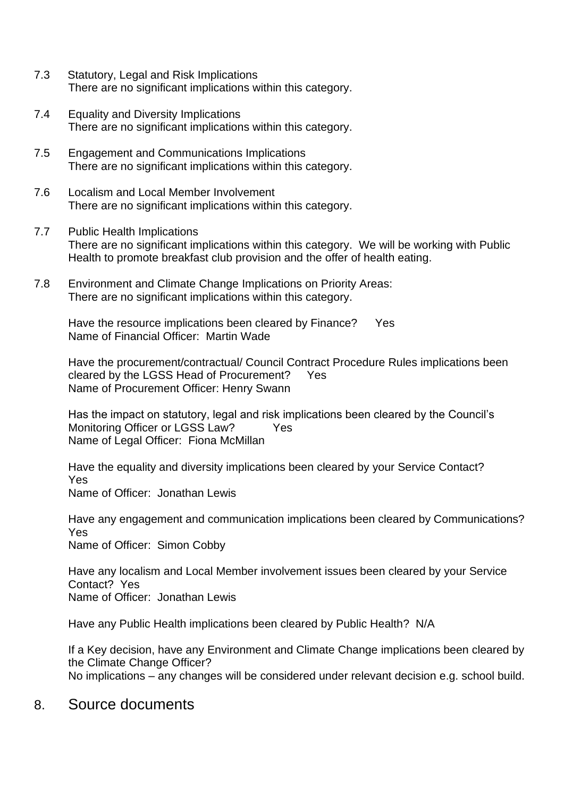- 7.3 Statutory, Legal and Risk Implications There are no significant implications within this category.
- 7.4 Equality and Diversity Implications There are no significant implications within this category.
- 7.5 Engagement and Communications Implications There are no significant implications within this category.
- 7.6 Localism and Local Member Involvement There are no significant implications within this category.
- 7.7 Public Health Implications There are no significant implications within this category. We will be working with Public Health to promote breakfast club provision and the offer of health eating.
- 7.8 Environment and Climate Change Implications on Priority Areas: There are no significant implications within this category.

Have the resource implications been cleared by Finance? Yes Name of Financial Officer: Martin Wade

Have the procurement/contractual/ Council Contract Procedure Rules implications been cleared by the LGSS Head of Procurement? Yes Name of Procurement Officer: Henry Swann

Has the impact on statutory, legal and risk implications been cleared by the Council's Monitoring Officer or LGSS Law?Yes Name of Legal Officer: Fiona McMillan

Have the equality and diversity implications been cleared by your Service Contact? Yes Name of Officer: Jonathan Lewis

Have any engagement and communication implications been cleared by Communications? Yes Name of Officer: Simon Cobby

Have any localism and Local Member involvement issues been cleared by your Service Contact? Yes Name of Officer: Jonathan Lewis

Have any Public Health implications been cleared by Public Health? N/A

If a Key decision, have any Environment and Climate Change implications been cleared by the Climate Change Officer? No implications – any changes will be considered under relevant decision e.g. school build.

8. Source documents